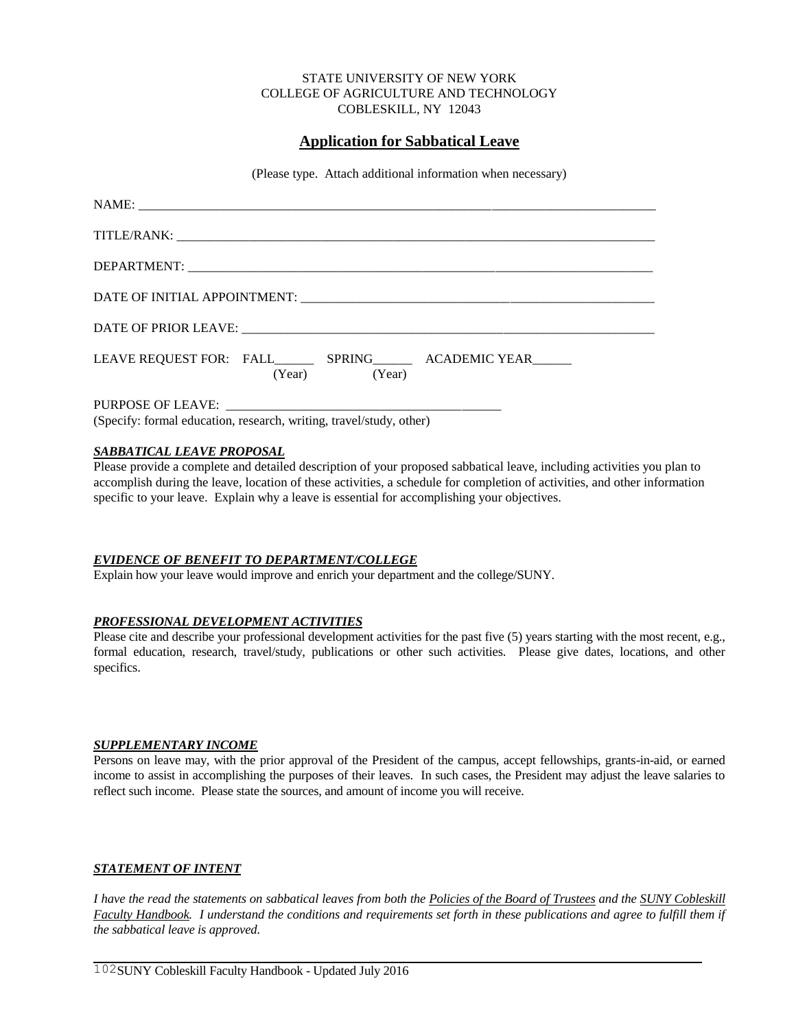#### STATE UNIVERSITY OF NEW YORK COLLEGE OF AGRICULTURE AND TECHNOLOGY COBLESKILL, NY 12043

# **Application for Sabbatical Leave**

(Please type. Attach additional information when necessary)

| (Year) (Year) |
|---------------|
|               |

PURPOSE OF LEAVE: (Specify: formal education, research, writing, travel/study, other)

## *SABBATICAL LEAVE PROPOSAL*

Please provide a complete and detailed description of your proposed sabbatical leave, including activities you plan to accomplish during the leave, location of these activities, a schedule for completion of activities, and other information specific to your leave. Explain why a leave is essential for accomplishing your objectives.

## *EVIDENCE OF BENEFIT TO DEPARTMENT/COLLEGE*

Explain how your leave would improve and enrich your department and the college/SUNY.

## *PROFESSIONAL DEVELOPMENT ACTIVITIES*

Please cite and describe your professional development activities for the past five (5) years starting with the most recent, e.g., formal education, research, travel/study, publications or other such activities. Please give dates, locations, and other specifics.

## *SUPPLEMENTARY INCOME*

Persons on leave may, with the prior approval of the President of the campus, accept fellowships, grants-in-aid, or earned income to assist in accomplishing the purposes of their leaves. In such cases, the President may adjust the leave salaries to reflect such income. Please state the sources, and amount of income you will receive.

## *STATEMENT OF INTENT*

*I have the read the statements on sabbatical leaves from both the Policies of the Board of Trustees and the SUNY Cobleskill Faculty Handbook. I understand the conditions and requirements set forth in these publications and agree to fulfill them if the sabbatical leave is approved.*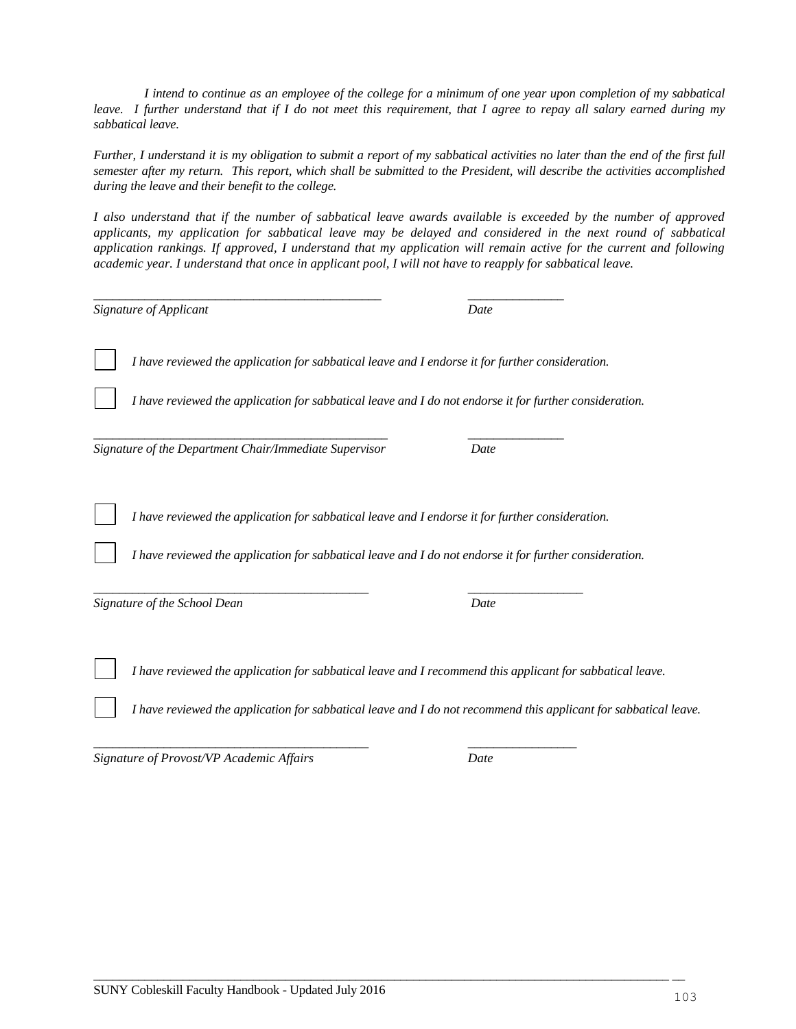*I intend to continue as an employee of the college for a minimum of one year upon completion of my sabbatical leave. I further understand that if I do not meet this requirement, that I agree to repay all salary earned during my sabbatical leave.*

*Further, I understand it is my obligation to submit a report of my sabbatical activities no later than the end of the first full semester after my return. This report, which shall be submitted to the President, will describe the activities accomplished during the leave and their benefit to the college.*

*I also understand that if the number of sabbatical leave awards available is exceeded by the number of approved applicants, my application for sabbatical leave may be delayed and considered in the next round of sabbatical application rankings. If approved, I understand that my application will remain active for the current and following academic year. I understand that once in applicant pool, I will not have to reapply for sabbatical leave.*

| Signature of Applicant                                                                           | Date                                                                                                             |
|--------------------------------------------------------------------------------------------------|------------------------------------------------------------------------------------------------------------------|
| I have reviewed the application for sabbatical leave and I endorse it for further consideration. |                                                                                                                  |
|                                                                                                  | I have reviewed the application for sabbatical leave and I do not endorse it for further consideration.          |
| Signature of the Department Chair/Immediate Supervisor                                           | Date                                                                                                             |
| I have reviewed the application for sabbatical leave and I endorse it for further consideration. |                                                                                                                  |
|                                                                                                  | I have reviewed the application for sabbatical leave and I do not endorse it for further consideration.          |
| Signature of the School Dean                                                                     | Date                                                                                                             |
|                                                                                                  | I have reviewed the application for sabbatical leave and I recommend this applicant for sabbatical leave.        |
|                                                                                                  | I have reviewed the application for sabbatical leave and I do not recommend this applicant for sabbatical leave. |
|                                                                                                  |                                                                                                                  |

*Signature of Provost/VP Academic Affairs Date*